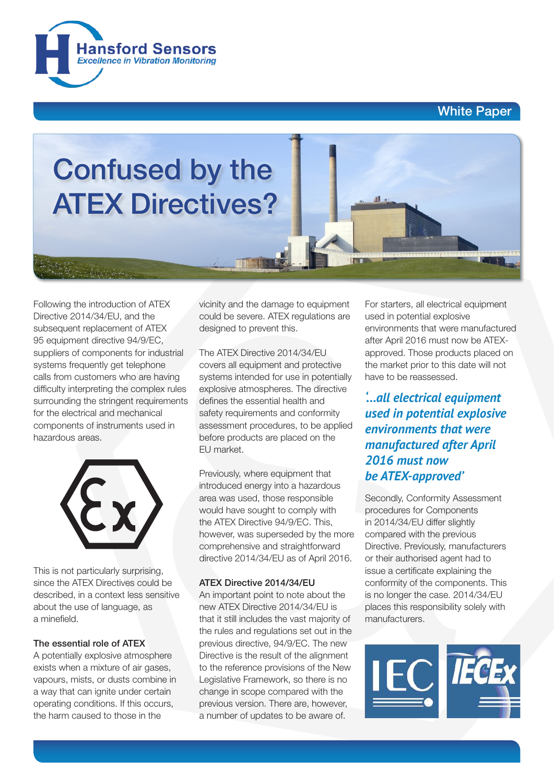## White Paper





Following the introduction of ATEX Directive 2014/34/EU, and the subsequent replacement of ATEX 95 equipment directive 94/9/EC, suppliers of components for industrial systems frequently get telephone calls from customers who are having difficulty interpreting the complex rules surrounding the stringent requirements for the electrical and mechanical components of instruments used in hazardous areas.



This is not particularly surprising, since the ATEX Directives could be described, in a context less sensitive about the use of language, as a minefield.

#### The essential role of ATEX

A potentially explosive atmosphere exists when a mixture of air gases, vapours, mists, or dusts combine in a way that can ignite under certain operating conditions. If this occurs, the harm caused to those in the

vicinity and the damage to equipment could be severe. ATEX regulations are designed to prevent this.

The ATEX Directive 2014/34/EU covers all equipment and protective systems intended for use in potentially explosive atmospheres. The directive defines the essential health and safety requirements and conformity assessment procedures, to be applied before products are placed on the EU market.

Previously, where equipment that introduced energy into a hazardous area was used, those responsible would have sought to comply with the ATEX Directive 94/9/EC. This, however, was superseded by the more comprehensive and straightforward directive 2014/34/EU as of April 2016.

### ATEX Directive 2014/34/EU

An important point to note about the new ATEX Directive 2014/34/EU is that it still includes the vast majority of the rules and regulations set out in the previous directive, 94/9/EC. The new Directive is the result of the alignment to the reference provisions of the New Legislative Framework, so there is no change in scope compared with the previous version. There are, however, a number of updates to be aware of.

For starters, all electrical equipment used in potential explosive environments that were manufactured after April 2016 must now be ATEXapproved. Those products placed on the market prior to this date will not have to be reassessed.

*'...all electrical equipment used in potential explosive environments that were manufactured after April 2016 must now be ATEX-approved'*

Secondly, Conformity Assessment procedures for Components in 2014/34/EU differ slightly compared with the previous Directive. Previously, manufacturers or their authorised agent had to issue a certificate explaining the conformity of the components. This is no longer the case. 2014/34/EU places this responsibility solely with manufacturers.

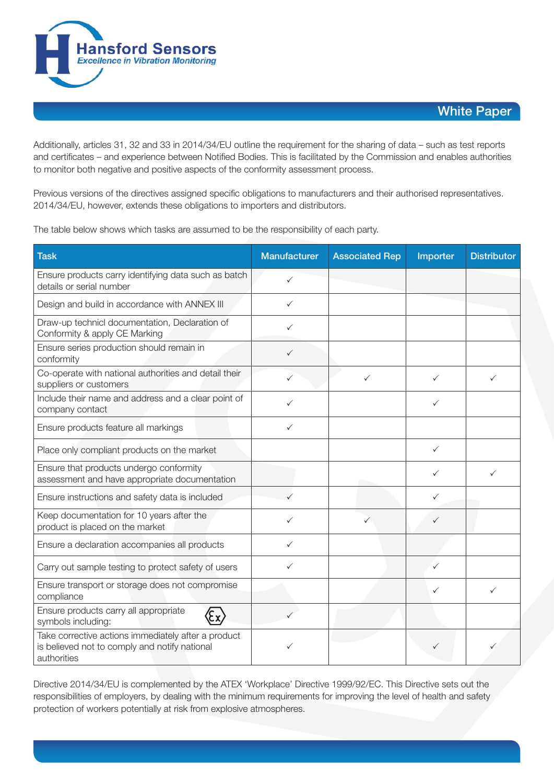

## White Paper

Additionally, articles 31, 32 and 33 in 2014/34/EU outline the requirement for the sharing of data – such as test reports and certificates – and experience between Notified Bodies. This is facilitated by the Commission and enables authorities to monitor both negative and positive aspects of the conformity assessment process.

Previous versions of the directives assigned specific obligations to manufacturers and their authorised representatives. 2014/34/EU, however, extends these obligations to importers and distributors.

The table below shows which tasks are assumed to be the responsibility of each party.

| <b>Task</b>                                                                                                         | <b>Manufacturer</b> | <b>Associated Rep</b> | Importer     | <b>Distributor</b> |
|---------------------------------------------------------------------------------------------------------------------|---------------------|-----------------------|--------------|--------------------|
| Ensure products carry identifying data such as batch<br>details or serial number                                    | $\checkmark$        |                       |              |                    |
| Design and build in accordance with ANNEX III                                                                       | $\checkmark$        |                       |              |                    |
| Draw-up technicl documentation, Declaration of<br>Conformity & apply CE Marking                                     | ✓                   |                       |              |                    |
| Ensure series production should remain in<br>conformity                                                             | ✓                   |                       |              |                    |
| Co-operate with national authorities and detail their<br>suppliers or customers                                     | ✓                   | ✓                     | ✓            | ✓                  |
| Include their name and address and a clear point of<br>company contact                                              | ✓                   |                       | $\checkmark$ |                    |
| Ensure products feature all markings                                                                                | $\checkmark$        |                       |              |                    |
| Place only compliant products on the market                                                                         |                     |                       | $\checkmark$ |                    |
| Ensure that products undergo conformity<br>assessment and have appropriate documentation                            |                     |                       | ✓            | ✓                  |
| Ensure instructions and safety data is included                                                                     | ✓                   |                       | ✓            |                    |
| Keep documentation for 10 years after the<br>product is placed on the market                                        | ✓                   |                       | ✓            |                    |
| Ensure a declaration accompanies all products                                                                       | ✓                   |                       |              |                    |
| Carry out sample testing to protect safety of users                                                                 | ✓                   |                       | ✓            |                    |
| Ensure transport or storage does not compromise<br>compliance                                                       |                     |                       | ✓            | ✓                  |
| Ensure products carry all appropriate<br>symbols including:                                                         |                     |                       |              |                    |
| Take corrective actions immediately after a product<br>is believed not to comply and notify national<br>authorities |                     |                       | ✓            |                    |

Directive 2014/34/EU is complemented by the ATEX 'Workplace' Directive 1999/92/EC. This Directive sets out the responsibilities of employers, by dealing with the minimum requirements for improving the level of health and safety protection of workers potentially at risk from explosive atmospheres.